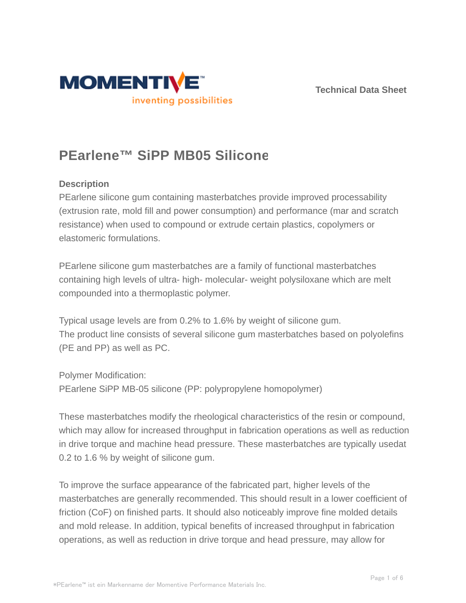



# **PEarlene™ SiPP MB05 Silicone**

# **Description**

PEarlene silicone gum containing masterbatches provide improved processability (extrusion rate, mold fill and power consumption) and performance (mar and scratch resistance) when used to compound or extrude certain plastics, copolymers or elastomeric formulations.

PEarlene silicone gum masterbatches are a family of functional masterbatches containing high levels of ultra- high- molecular- weight polysiloxane which are melt compounded into a thermoplastic polymer.

Typical usage levels are from 0.2% to 1.6% by weight of silicone gum. The product line consists of several silicone gum masterbatches based on polyolefins (PE and PP) as well as PC.

Polymer Modification: PEarlene SiPP MB-05 silicone (PP: polypropylene homopolymer)

These masterbatches modify the rheological characteristics of the resin or compound, which may allow for increased throughput in fabrication operations as well as reduction in drive torque and machine head pressure. These masterbatches are typically usedat 0.2 to 1.6 % by weight of silicone gum.

To improve the surface appearance of the fabricated part, higher levels of the masterbatches are generally recommended. This should result in a lower coefficient of friction (CoF) on finished parts. It should also noticeably improve fine molded details and mold release. In addition, typical benefits of increased throughput in fabrication operations, as well as reduction in drive torque and head pressure, may allow for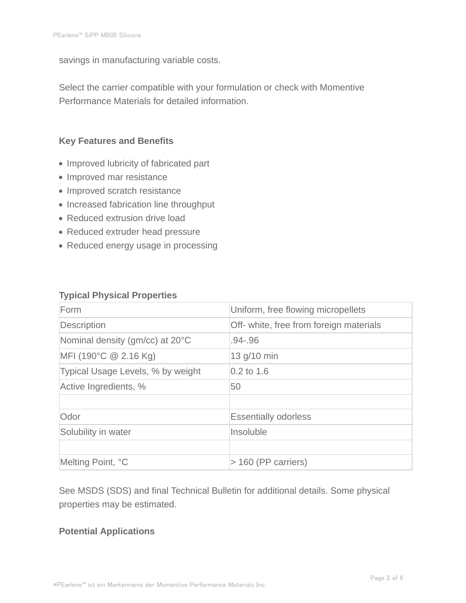savings in manufacturing variable costs.

Select the carrier compatible with your formulation or check with Momentive Performance Materials for detailed information.

### **Key Features and Benefits**

- Improved lubricity of fabricated part
- Improved mar resistance
- Improved scratch resistance
- Increased fabrication line throughput
- Reduced extrusion drive load
- Reduced extruder head pressure
- Reduced energy usage in processing

#### **Typical Physical Properties**

| Form                              | Uniform, free flowing micropellets      |  |
|-----------------------------------|-----------------------------------------|--|
| Description                       | Off- white, free from foreign materials |  |
| Nominal density (gm/cc) at 20°C   | $.94 - .96$                             |  |
| MFI (190°C $@$ 2.16 Kg)           | 13 g/10 min                             |  |
| Typical Usage Levels, % by weight | $0.2$ to 1.6                            |  |
| Active Ingredients, %             | 50                                      |  |
|                                   |                                         |  |
| Odor                              | <b>Essentially odorless</b>             |  |
| Solubility in water               | Insoluble                               |  |
|                                   |                                         |  |
| Melting Point, °C                 | $>$ 160 (PP carriers)                   |  |

See MSDS (SDS) and final Technical Bulletin for additional details. Some physical properties may be estimated.

#### **Potential Applications**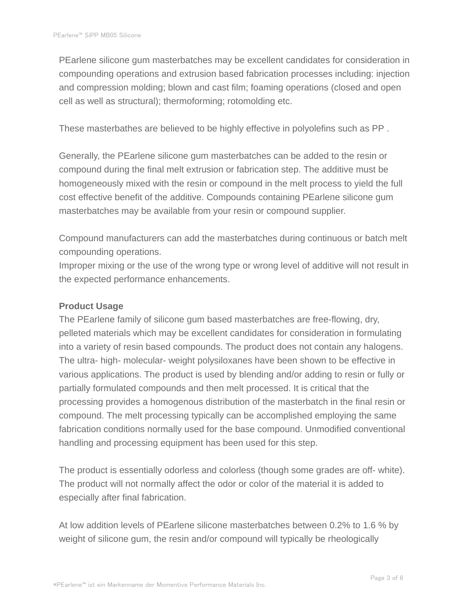PEarlene silicone gum masterbatches may be excellent candidates for consideration in compounding operations and extrusion based fabrication processes including: injection and compression molding; blown and cast film; foaming operations (closed and open cell as well as structural); thermoforming; rotomolding etc.

These masterbathes are believed to be highly effective in polyolefins such as PP .

Generally, the PEarlene silicone gum masterbatches can be added to the resin or compound during the final melt extrusion or fabrication step. The additive must be homogeneously mixed with the resin or compound in the melt process to yield the full cost effective benefit of the additive. Compounds containing PEarlene silicone gum masterbatches may be available from your resin or compound supplier.

Compound manufacturers can add the masterbatches during continuous or batch melt compounding operations.

Improper mixing or the use of the wrong type or wrong level of additive will not result in the expected performance enhancements.

#### **Product Usage**

The PEarlene family of silicone gum based masterbatches are free-flowing, dry, pelleted materials which may be excellent candidates for consideration in formulating into a variety of resin based compounds. The product does not contain any halogens. The ultra- high- molecular- weight polysiloxanes have been shown to be effective in various applications. The product is used by blending and/or adding to resin or fully or partially formulated compounds and then melt processed. It is critical that the processing provides a homogenous distribution of the masterbatch in the final resin or compound. The melt processing typically can be accomplished employing the same fabrication conditions normally used for the base compound. Unmodified conventional handling and processing equipment has been used for this step.

The product is essentially odorless and colorless (though some grades are off- white). The product will not normally affect the odor or color of the material it is added to especially after final fabrication.

At low addition levels of PEarlene silicone masterbatches between 0.2% to 1.6 % by weight of silicone gum, the resin and/or compound will typically be rheologically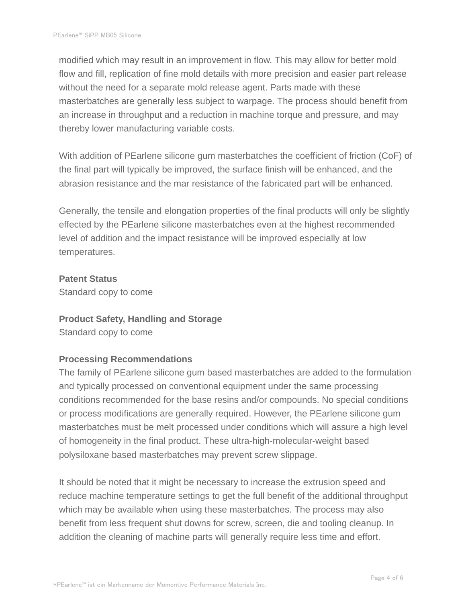modified which may result in an improvement in flow. This may allow for better mold flow and fill, replication of fine mold details with more precision and easier part release without the need for a separate mold release agent. Parts made with these masterbatches are generally less subject to warpage. The process should benefit from an increase in throughput and a reduction in machine torque and pressure, and may thereby lower manufacturing variable costs.

With addition of PEarlene silicone gum masterbatches the coefficient of friction (CoF) of the final part will typically be improved, the surface finish will be enhanced, and the abrasion resistance and the mar resistance of the fabricated part will be enhanced.

Generally, the tensile and elongation properties of the final products will only be slightly effected by the PEarlene silicone masterbatches even at the highest recommended level of addition and the impact resistance will be improved especially at low temperatures.

#### **Patent Status**

Standard copy to come

#### **Product Safety, Handling and Storage**

Standard copy to come

# **Processing Recommendations**

The family of PEarlene silicone gum based masterbatches are added to the formulation and typically processed on conventional equipment under the same processing conditions recommended for the base resins and/or compounds. No special conditions or process modifications are generally required. However, the PEarlene silicone gum masterbatches must be melt processed under conditions which will assure a high level of homogeneity in the final product. These ultra-high-molecular-weight based polysiloxane based masterbatches may prevent screw slippage.

It should be noted that it might be necessary to increase the extrusion speed and reduce machine temperature settings to get the full benefit of the additional throughput which may be available when using these masterbatches. The process may also benefit from less frequent shut downs for screw, screen, die and tooling cleanup. In addition the cleaning of machine parts will generally require less time and effort.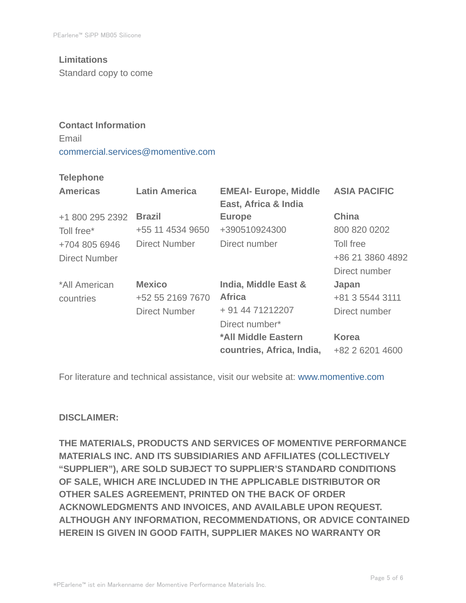# **Limitations**

Standard copy to come

# **Contact Information** Email commercial.services@momentive.com

#### **Telephone**

| <b>Americas</b>      | <b>Latin America</b> | <b>EMEAI- Europe, Middle</b><br>East, Africa & India | <b>ASIA PACIFIC</b> |
|----------------------|----------------------|------------------------------------------------------|---------------------|
| +1 800 295 2392      | <b>Brazil</b>        | <b>Europe</b>                                        | <b>China</b>        |
| Toll free*           | +55 11 4534 9650     | +390510924300                                        | 800 820 0202        |
| +704 805 6946        | <b>Direct Number</b> | Direct number                                        | Toll free           |
| <b>Direct Number</b> |                      |                                                      | +86 21 3860 4892    |
|                      |                      |                                                      | Direct number       |
| *All American        | <b>Mexico</b>        | India, Middle East &                                 | Japan               |
| countries            | +52 55 2169 7670     | <b>Africa</b>                                        | +81 3 5544 3111     |
|                      | <b>Direct Number</b> | + 91 44 71212207                                     | Direct number       |
|                      |                      | Direct number*                                       |                     |
|                      |                      | *All Middle Eastern                                  | <b>Korea</b>        |
|                      |                      | countries, Africa, India,                            | +82 2 6201 4600     |

For literature and technical assistance, visit our website at: www.momentive.com

#### **DISCLAIMER:**

**THE MATERIALS, PRODUCTS AND SERVICES OF MOMENTIVE PERFORMANCE MATERIALS INC. AND ITS SUBSIDIARIES AND AFFILIATES (COLLECTIVELY "SUPPLIER"), ARE SOLD SUBJECT TO SUPPLIER'S STANDARD CONDITIONS OF SALE, WHICH ARE INCLUDED IN THE APPLICABLE DISTRIBUTOR OR OTHER SALES AGREEMENT, PRINTED ON THE BACK OF ORDER ACKNOWLEDGMENTS AND INVOICES, AND AVAILABLE UPON REQUEST. ALTHOUGH ANY INFORMATION, RECOMMENDATIONS, OR ADVICE CONTAINED HEREIN IS GIVEN IN GOOD FAITH, SUPPLIER MAKES NO WARRANTY OR**